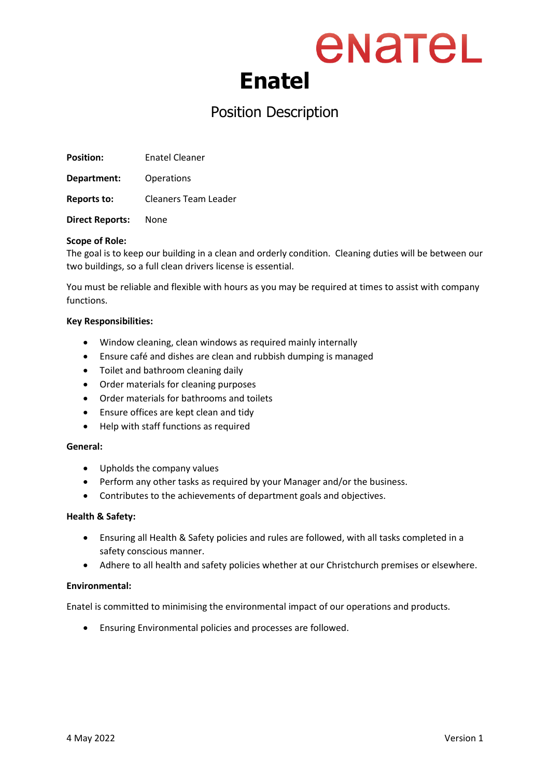## enatel **Enatel**

### Position Description

**Position:** Enatel Cleaner

**Department:** Operations

**Reports to:** Cleaners Team Leader

**Direct Reports:** None

#### **Scope of Role:**

The goal is to keep our building in a clean and orderly condition. Cleaning duties will be between our two buildings, so a full clean drivers license is essential.

You must be reliable and flexible with hours as you may be required at times to assist with company functions.

#### **Key Responsibilities:**

- Window cleaning, clean windows as required mainly internally
- Ensure café and dishes are clean and rubbish dumping is managed
- Toilet and bathroom cleaning daily
- Order materials for cleaning purposes
- Order materials for bathrooms and toilets
- Ensure offices are kept clean and tidy
- Help with staff functions as required

#### **General:**

- Upholds the company values
- Perform any other tasks as required by your Manager and/or the business.
- Contributes to the achievements of department goals and objectives.

#### **Health & Safety:**

- Ensuring all Health & Safety policies and rules are followed, with all tasks completed in a safety conscious manner.
- Adhere to all health and safety policies whether at our Christchurch premises or elsewhere.

#### **Environmental:**

Enatel is committed to minimising the environmental impact of our operations and products.

• Ensuring Environmental policies and processes are followed.